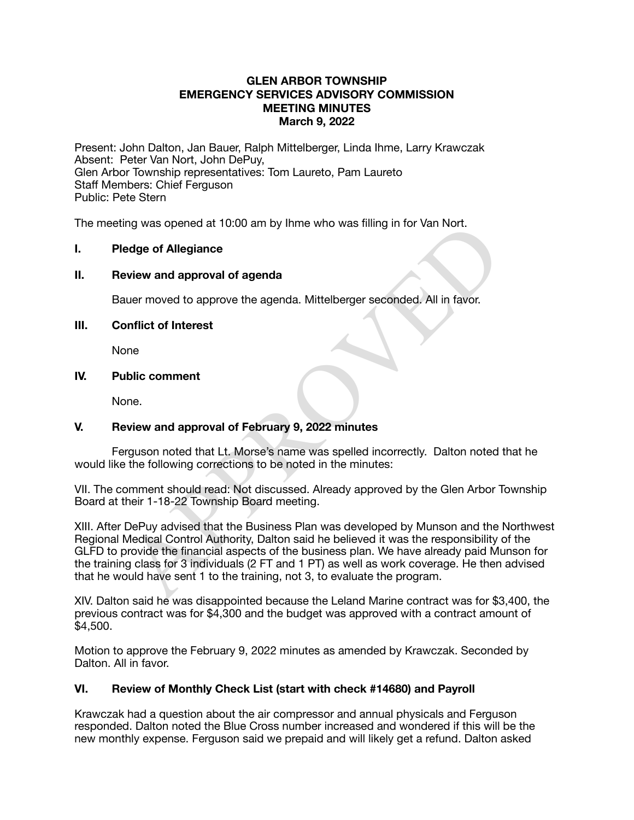## **GLEN ARBOR TOWNSHIP EMERGENCY SERVICES ADVISORY COMMISSION MEETING MINUTES March 9, 2022**

Present: John Dalton, Jan Bauer, Ralph Mittelberger, Linda Ihme, Larry Krawczak Absent: Peter Van Nort, John DePuy, Glen Arbor Township representatives: Tom Laureto, Pam Laureto Staff Members: Chief Ferguson Public: Pete Stern

The meeting was opened at 10:00 am by Ihme who was filling in for Van Nort.

## **I. Pledge of Allegiance**

### **II. Review and approval of agenda**

Bauer moved to approve the agenda. Mittelberger seconded. All in favor.

# **III. Conflict of Interest**

None

## **IV. Public comment**

None.

# **V. Review and approval of February 9, 2022 minutes**

Ferguson noted that Lt. Morse's name was spelled incorrectly. Dalton noted that he would like the following corrections to be noted in the minutes:

VII. The comment should read: Not discussed. Already approved by the Glen Arbor Township Board at their 1-18-22 Township Board meeting.

ing was opened at 10:00 am by linne who was filling in for van Nort.<br>
Ledge of Allegiance<br>
eview and approval of agenda.<br>
auer moved to approve the agenda. Mittelberger seconded. All in favor.<br>
onflict of Interest<br>
one.<br>
w XIII. After DePuy advised that the Business Plan was developed by Munson and the Northwest Regional Medical Control Authority, Dalton said he believed it was the responsibility of the GLFD to provide the financial aspects of the business plan. We have already paid Munson for the training class for 3 individuals (2 FT and 1 PT) as well as work coverage. He then advised that he would have sent 1 to the training, not 3, to evaluate the program.

XIV. Dalton said he was disappointed because the Leland Marine contract was for \$3,400, the previous contract was for \$4,300 and the budget was approved with a contract amount of \$4,500.

Motion to approve the February 9, 2022 minutes as amended by Krawczak. Seconded by Dalton. All in favor.

# **VI. Review of Monthly Check List (start with check #14680) and Payroll**

Krawczak had a question about the air compressor and annual physicals and Ferguson responded. Dalton noted the Blue Cross number increased and wondered if this will be the new monthly expense. Ferguson said we prepaid and will likely get a refund. Dalton asked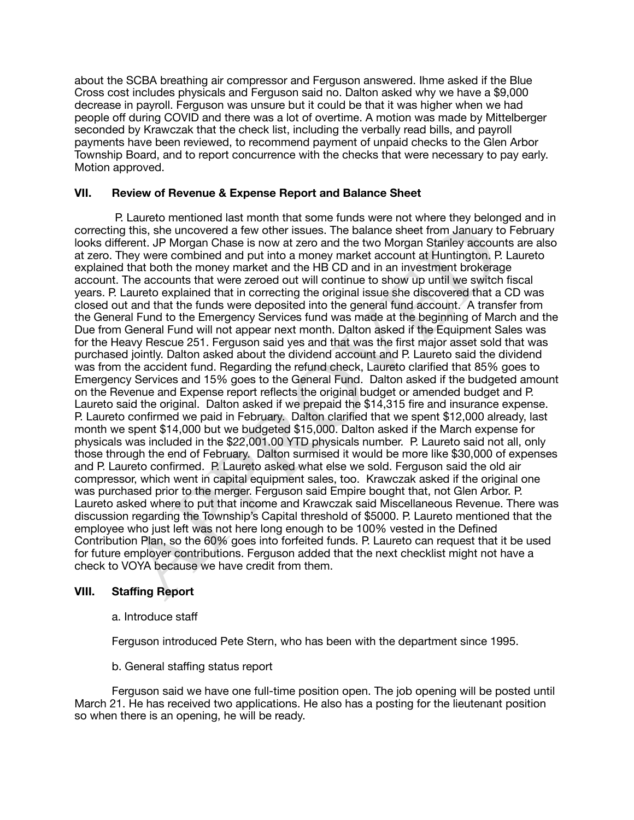about the SCBA breathing air compressor and Ferguson answered. Ihme asked if the Blue Cross cost includes physicals and Ferguson said no. Dalton asked why we have a \$9,000 decrease in payroll. Ferguson was unsure but it could be that it was higher when we had people off during COVID and there was a lot of overtime. A motion was made by Mittelberger seconded by Krawczak that the check list, including the verbally read bills, and payroll payments have been reviewed, to recommend payment of unpaid checks to the Glen Arbor Township Board, and to report concurrence with the checks that were necessary to pay early. Motion approved.

# **VII. Review of Revenue & Expense Report and Balance Sheet**

Theis, the uncovered at few other issues. The balance see throm January to<br>then the movered a few other issues. The balance sheet from January to<br>reret. JP Morgan Chase is now at zero and the two Morgan Stariley account<br>th P. Laureto mentioned last month that some funds were not where they belonged and in correcting this, she uncovered a few other issues. The balance sheet from January to February looks different. JP Morgan Chase is now at zero and the two Morgan Stanley accounts are also at zero. They were combined and put into a money market account at Huntington. P. Laureto explained that both the money market and the HB CD and in an investment brokerage account. The accounts that were zeroed out will continue to show up until we switch fiscal years. P. Laureto explained that in correcting the original issue she discovered that a CD was closed out and that the funds were deposited into the general fund account. A transfer from the General Fund to the Emergency Services fund was made at the beginning of March and the Due from General Fund will not appear next month. Dalton asked if the Equipment Sales was for the Heavy Rescue 251. Ferguson said yes and that was the first major asset sold that was purchased jointly. Dalton asked about the dividend account and P. Laureto said the dividend was from the accident fund. Regarding the refund check, Laureto clarified that 85% goes to Emergency Services and 15% goes to the General Fund. Dalton asked if the budgeted amount on the Revenue and Expense report reflects the original budget or amended budget and P. Laureto said the original. Dalton asked if we prepaid the \$14,315 fire and insurance expense. P. Laureto confirmed we paid in February. Dalton clarified that we spent \$12,000 already, last month we spent \$14,000 but we budgeted \$15,000. Dalton asked if the March expense for physicals was included in the \$22,001.00 YTD physicals number. P. Laureto said not all, only those through the end of February. Dalton surmised it would be more like \$30,000 of expenses and P. Laureto confirmed. P. Laureto asked what else we sold. Ferguson said the old air compressor, which went in capital equipment sales, too. Krawczak asked if the original one was purchased prior to the merger. Ferguson said Empire bought that, not Glen Arbor. P. Laureto asked where to put that income and Krawczak said Miscellaneous Revenue. There was discussion regarding the Township's Capital threshold of \$5000. P. Laureto mentioned that the employee who just left was not here long enough to be 100% vested in the Defined Contribution Plan, so the 60% goes into forfeited funds. P. Laureto can request that it be used for future employer contributions. Ferguson added that the next checklist might not have a check to VOYA because we have credit from them.

# **VIII. Staffing Report**

a. Introduce staff

Ferguson introduced Pete Stern, who has been with the department since 1995.

b. General staffing status report

Ferguson said we have one full-time position open. The job opening will be posted until March 21. He has received two applications. He also has a posting for the lieutenant position so when there is an opening, he will be ready.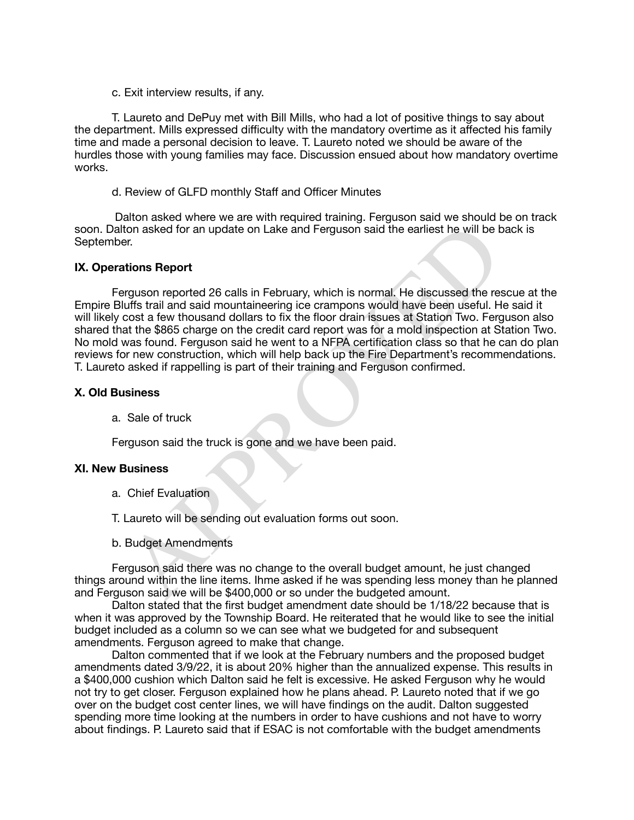c. Exit interview results, if any.

T. Laureto and DePuy met with Bill Mills, who had a lot of positive things to say about the department. Mills expressed difficulty with the mandatory overtime as it affected his family time and made a personal decision to leave. T. Laureto noted we should be aware of the hurdles those with young families may face. Discussion ensued about how mandatory overtime works.

d. Review of GLFD monthly Staff and Officer Minutes

 Dalton asked where we are with required training. Ferguson said we should be on track soon. Dalton asked for an update on Lake and Ferguson said the earliest he will be back is September.

### **IX. Operations Report**

the asked for an update on Lake and Ferguson said the earliest he will be ber.<br>
Heromomoroported 26 calls in February, which is normal. He discussed the reservations Report<br>
Heromomoroported 26 calls in February, which is Ferguson reported 26 calls in February, which is normal. He discussed the rescue at the Empire Bluffs trail and said mountaineering ice crampons would have been useful. He said it will likely cost a few thousand dollars to fix the floor drain issues at Station Two. Ferguson also shared that the \$865 charge on the credit card report was for a mold inspection at Station Two. No mold was found. Ferguson said he went to a NFPA certification class so that he can do plan reviews for new construction, which will help back up the Fire Department's recommendations. T. Laureto asked if rappelling is part of their training and Ferguson confirmed.

#### **X. Old Business**

a. Sale of truck

Ferguson said the truck is gone and we have been paid.

#### **XI. New Business**

- a. Chief Evaluation
- T. Laureto will be sending out evaluation forms out soon.
- b. Budget Amendments

Ferguson said there was no change to the overall budget amount, he just changed things around within the line items. Ihme asked if he was spending less money than he planned and Ferguson said we will be \$400,000 or so under the budgeted amount.

Dalton stated that the first budget amendment date should be 1/18/22 because that is when it was approved by the Township Board. He reiterated that he would like to see the initial budget included as a column so we can see what we budgeted for and subsequent amendments. Ferguson agreed to make that change.

Dalton commented that if we look at the February numbers and the proposed budget amendments dated 3/9/22, it is about 20% higher than the annualized expense. This results in a \$400,000 cushion which Dalton said he felt is excessive. He asked Ferguson why he would not try to get closer. Ferguson explained how he plans ahead. P. Laureto noted that if we go over on the budget cost center lines, we will have findings on the audit. Dalton suggested spending more time looking at the numbers in order to have cushions and not have to worry about findings. P. Laureto said that if ESAC is not comfortable with the budget amendments